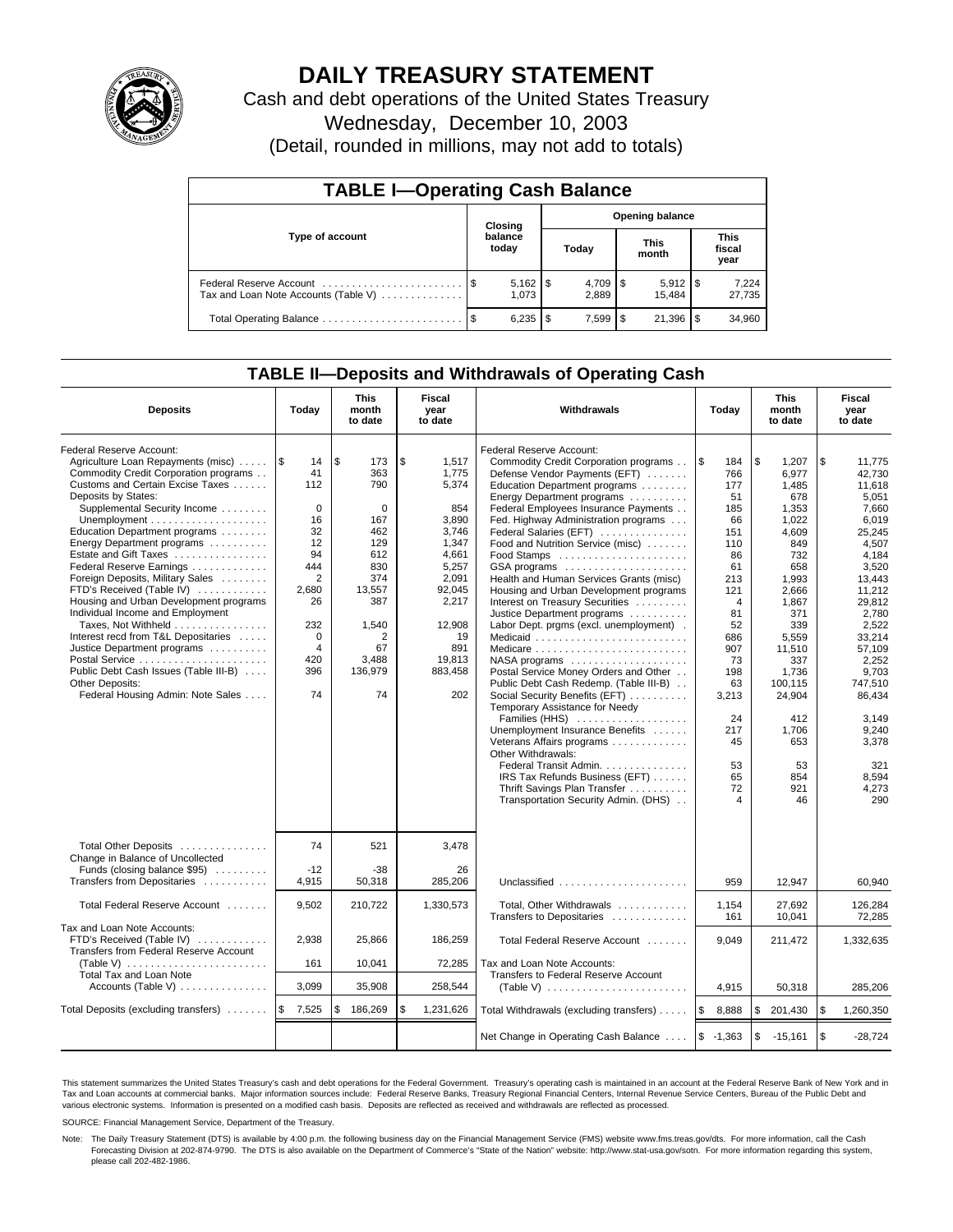

# **DAILY TREASURY STATEMENT**

Cash and debt operations of the United States Treasury Wednesday, December 10, 2003

|  | (Detail, rounded in millions, may not add to totals) |  |
|--|------------------------------------------------------|--|
|--|------------------------------------------------------|--|

| <b>TABLE I-Operating Cash Balance</b>                           |      |                                   |    |           |  |                       |      |                               |  |
|-----------------------------------------------------------------|------|-----------------------------------|----|-----------|--|-----------------------|------|-------------------------------|--|
|                                                                 |      | <b>Opening balance</b><br>Closing |    |           |  |                       |      |                               |  |
| Type of account                                                 |      | balance<br>today                  |    | Today     |  | This<br>month         |      | <b>This</b><br>fiscal<br>year |  |
| Federal Reserve Account<br>Tax and Loan Note Accounts (Table V) |      | $5,162$   \$<br>1.073             |    | 2.889     |  | $5,912$ \\$<br>15.484 |      | 7,224<br>27,735               |  |
| Total Operating Balance                                         | - \$ | 6,235                             | -S | $7.599$ S |  | 21.396                | l \$ | 34,960                        |  |

## **TABLE II—Deposits and Withdrawals of Operating Cash**

| <b>Deposits</b>                                                                                                                                                                                                                                                                                                                                                                                                                                                                                                                                                                                                                                                           | Today                                                                                                                                         | <b>This</b><br>month<br>to date                                                                                                       | Fiscal<br>year<br>to date                                                                                                                                        | Withdrawals                                                                                                                                                                                                                                                                                                                                                                                                                                                                                                                                                                                                                                                                                                                                                                                                                                                                                                                                                                                                                          | Today                                                                                                                                                                                                 | <b>This</b><br>month<br>to date                                                                                                                                                                                                        | Fiscal<br>year<br>to date                                                                                                                                                                                                                                              |
|---------------------------------------------------------------------------------------------------------------------------------------------------------------------------------------------------------------------------------------------------------------------------------------------------------------------------------------------------------------------------------------------------------------------------------------------------------------------------------------------------------------------------------------------------------------------------------------------------------------------------------------------------------------------------|-----------------------------------------------------------------------------------------------------------------------------------------------|---------------------------------------------------------------------------------------------------------------------------------------|------------------------------------------------------------------------------------------------------------------------------------------------------------------|--------------------------------------------------------------------------------------------------------------------------------------------------------------------------------------------------------------------------------------------------------------------------------------------------------------------------------------------------------------------------------------------------------------------------------------------------------------------------------------------------------------------------------------------------------------------------------------------------------------------------------------------------------------------------------------------------------------------------------------------------------------------------------------------------------------------------------------------------------------------------------------------------------------------------------------------------------------------------------------------------------------------------------------|-------------------------------------------------------------------------------------------------------------------------------------------------------------------------------------------------------|----------------------------------------------------------------------------------------------------------------------------------------------------------------------------------------------------------------------------------------|------------------------------------------------------------------------------------------------------------------------------------------------------------------------------------------------------------------------------------------------------------------------|
| Federal Reserve Account:<br>Agriculture Loan Repayments (misc)    \$<br>Commodity Credit Corporation programs<br>Customs and Certain Excise Taxes<br>Deposits by States:<br>Supplemental Security Income<br>Education Department programs<br>Energy Department programs<br>Estate and Gift Taxes<br>Federal Reserve Earnings<br>Foreign Deposits, Military Sales<br>FTD's Received (Table IV)<br>Housing and Urban Development programs<br>Individual Income and Employment<br>Taxes, Not Withheld<br>Interest recd from T&L Depositaries<br>Justice Department programs<br>Public Debt Cash Issues (Table III-B)<br>Other Deposits:<br>Federal Housing Admin: Note Sales | 14<br>41<br>112<br>$\mathbf 0$<br>16<br>32<br>12<br>94<br>444<br>2<br>2,680<br>26<br>232<br>$\mathbf 0$<br>$\overline{4}$<br>420<br>396<br>74 | \$<br>173<br>363<br>790<br>0<br>167<br>462<br>129<br>612<br>830<br>374<br>13,557<br>387<br>1,540<br>2<br>67<br>3,488<br>136,979<br>74 | \$<br>1,517<br>1,775<br>5,374<br>854<br>3.890<br>3,746<br>1,347<br>4.661<br>5,257<br>2,091<br>92,045<br>2,217<br>12,908<br>19<br>891<br>19,813<br>883,458<br>202 | Federal Reserve Account:<br>Commodity Credit Corporation programs<br>Defense Vendor Payments (EFT)<br>Education Department programs<br>Energy Department programs<br>Federal Employees Insurance Payments<br>Fed. Highway Administration programs<br>Federal Salaries (EFT)<br>Food and Nutrition Service (misc)<br>Food Stamps<br>GSA programs<br>Health and Human Services Grants (misc)<br>Housing and Urban Development programs<br>Interest on Treasury Securities<br>Justice Department programs<br>Labor Dept. prgms (excl. unemployment).<br>Medicaid<br>Medicare<br>$NASA$ programs $\ldots \ldots \ldots \ldots \ldots$<br>Postal Service Money Orders and Other<br>Public Debt Cash Redemp. (Table III-B)<br>Social Security Benefits (EFT)<br>Temporary Assistance for Needy<br>Families (HHS)<br>Unemployment Insurance Benefits<br>Veterans Affairs programs<br>Other Withdrawals:<br>Federal Transit Admin.<br>IRS Tax Refunds Business (EFT)<br>Thrift Savings Plan Transfer<br>Transportation Security Admin. (DHS) | ۱\$<br>184<br>766<br>177<br>51<br>185<br>66<br>151<br>110<br>86<br>61<br>213<br>121<br>$\overline{4}$<br>81<br>52<br>686<br>907<br>73<br>198<br>63<br>3,213<br>24<br>217<br>45<br>53<br>65<br>72<br>4 | \$<br>1,207<br>6.977<br>1,485<br>678<br>1,353<br>1,022<br>4,609<br>849<br>732<br>658<br>1,993<br>2.666<br>1,867<br>371<br>339<br>5.559<br>11,510<br>337<br>1.736<br>100,115<br>24,904<br>412<br>1.706<br>653<br>53<br>854<br>921<br>46 | \$<br>11,775<br>42.730<br>11.618<br>5,051<br>7.660<br>6.019<br>25,245<br>4,507<br>4.184<br>3,520<br>13,443<br>11.212<br>29,812<br>2,780<br>2,522<br>33.214<br>57,109<br>2,252<br>9.703<br>747,510<br>86,434<br>3.149<br>9,240<br>3,378<br>321<br>8,594<br>4,273<br>290 |
| Total Other Deposits<br>Change in Balance of Uncollected<br>Funds (closing balance \$95)<br>Transfers from Depositaries                                                                                                                                                                                                                                                                                                                                                                                                                                                                                                                                                   | 74<br>$-12$<br>4,915                                                                                                                          | 521<br>$-38$<br>50,318                                                                                                                | 3,478<br>26<br>285.206                                                                                                                                           | Unclassified                                                                                                                                                                                                                                                                                                                                                                                                                                                                                                                                                                                                                                                                                                                                                                                                                                                                                                                                                                                                                         | 959                                                                                                                                                                                                   | 12.947                                                                                                                                                                                                                                 | 60.940                                                                                                                                                                                                                                                                 |
| Total Federal Reserve Account                                                                                                                                                                                                                                                                                                                                                                                                                                                                                                                                                                                                                                             | 9,502                                                                                                                                         | 210,722                                                                                                                               | 1,330,573                                                                                                                                                        | Total, Other Withdrawals                                                                                                                                                                                                                                                                                                                                                                                                                                                                                                                                                                                                                                                                                                                                                                                                                                                                                                                                                                                                             | 1,154                                                                                                                                                                                                 | 27,692                                                                                                                                                                                                                                 | 126,284                                                                                                                                                                                                                                                                |
| Tax and Loan Note Accounts:<br>FTD's Received (Table IV)<br>Transfers from Federal Reserve Account<br>(Table V) $\ldots \ldots \ldots \ldots \ldots \ldots \ldots$<br><b>Total Tax and Loan Note</b>                                                                                                                                                                                                                                                                                                                                                                                                                                                                      | 2,938<br>161                                                                                                                                  | 25,866<br>10,041                                                                                                                      | 186,259<br>72,285                                                                                                                                                | Transfers to Depositaries<br>Total Federal Reserve Account<br>Tax and Loan Note Accounts:<br>Transfers to Federal Reserve Account                                                                                                                                                                                                                                                                                                                                                                                                                                                                                                                                                                                                                                                                                                                                                                                                                                                                                                    | 161<br>9,049                                                                                                                                                                                          | 10,041<br>211,472                                                                                                                                                                                                                      | 72.285<br>1,332,635                                                                                                                                                                                                                                                    |
| Accounts (Table V)                                                                                                                                                                                                                                                                                                                                                                                                                                                                                                                                                                                                                                                        | 3,099                                                                                                                                         | 35,908                                                                                                                                | 258,544                                                                                                                                                          | (Table V) $\ldots \ldots \ldots \ldots \ldots \ldots \ldots$                                                                                                                                                                                                                                                                                                                                                                                                                                                                                                                                                                                                                                                                                                                                                                                                                                                                                                                                                                         | 4,915                                                                                                                                                                                                 | 50,318                                                                                                                                                                                                                                 | 285,206                                                                                                                                                                                                                                                                |
| Total Deposits (excluding transfers)                                                                                                                                                                                                                                                                                                                                                                                                                                                                                                                                                                                                                                      | ۱\$<br>7,525                                                                                                                                  | \$<br>186,269                                                                                                                         | \$<br>1,231,626                                                                                                                                                  | Total Withdrawals (excluding transfers)                                                                                                                                                                                                                                                                                                                                                                                                                                                                                                                                                                                                                                                                                                                                                                                                                                                                                                                                                                                              | ۱\$<br>8,888                                                                                                                                                                                          | \$<br>201,430                                                                                                                                                                                                                          | \$<br>1,260,350                                                                                                                                                                                                                                                        |
|                                                                                                                                                                                                                                                                                                                                                                                                                                                                                                                                                                                                                                                                           |                                                                                                                                               |                                                                                                                                       |                                                                                                                                                                  | Net Change in Operating Cash Balance                                                                                                                                                                                                                                                                                                                                                                                                                                                                                                                                                                                                                                                                                                                                                                                                                                                                                                                                                                                                 | $$ -1,363$                                                                                                                                                                                            | $\mathfrak s$<br>-15,161                                                                                                                                                                                                               | $\mathfrak s$<br>$-28,724$                                                                                                                                                                                                                                             |

This statement summarizes the United States Treasury's cash and debt operations for the Federal Government. Treasury's operating cash is maintained in an account at the Federal Reserve Bank of New York and in Tax and Loan accounts at commercial banks. Major information sources include: Federal Reserve Banks, Treasury Regional Financial Centers, Internal Revenue Service Centers, Bureau of the Public Debt and<br>various electronic s

SOURCE: Financial Management Service, Department of the Treasury.

Note: The Daily Treasury Statement (DTS) is available by 4:00 p.m. the following business day on the Financial Management Service (FMS) website www.fms.treas.gov/dts. For more information, call the Cash Forecasting Division at 202-874-9790. The DTS is also available on the Department of Commerce's "State of the Nation" website: http://www.stat-usa.gov/sotn. For more information regarding this system, please call 202-482-1986.